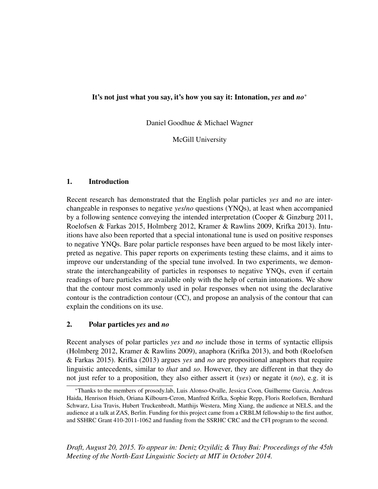## It's not just what you say, it's how you say it: Intonation, *yes* and *no*<sup>∗</sup>

Daniel Goodhue & Michael Wagner

McGill University

## 1. Introduction

Recent research has demonstrated that the English polar particles *yes* and *no* are interchangeable in responses to negative *yes*/*no* questions (YNQs), at least when accompanied by a following sentence conveying the intended interpretation (Cooper & Ginzburg 2011, Roelofsen & Farkas 2015, Holmberg 2012, Kramer & Rawlins 2009, Krifka 2013). Intuitions have also been reported that a special intonational tune is used on positive responses to negative YNQs. Bare polar particle responses have been argued to be most likely interpreted as negative. This paper reports on experiments testing these claims, and it aims to improve our understanding of the special tune involved. In two experiments, we demonstrate the interchangeability of particles in responses to negative YNQs, even if certain readings of bare particles are available only with the help of certain intonations. We show that the contour most commonly used in polar responses when not using the declarative contour is the contradiction contour (CC), and propose an analysis of the contour that can explain the conditions on its use.

## 2. Polar particles *yes* and *no*

Recent analyses of polar particles *yes* and *no* include those in terms of syntactic ellipsis (Holmberg 2012, Kramer & Rawlins 2009), anaphora (Krifka 2013), and both (Roelofsen & Farkas 2015). Krifka (2013) argues *yes* and *no* are propositional anaphors that require linguistic antecedents, similar to *that* and *so*. However, they are different in that they do not just refer to a proposition, they also either assert it (*yes*) or negate it (*no*), e.g. it is

*Draft, August 20, 2015. To appear in: Deniz Ozyildiz & Thuy Bui: Proceedings of the 45th Meeting of the North-East Linguistic Society at MIT in October 2014.*

<sup>∗</sup>Thanks to the members of prosody.lab, Luis Alonso-Ovalle, Jessica Coon, Guilherme Garcia, Andreas Haida, Henrison Hsieh, Oriana Kilbourn-Ceron, Manfred Krifka, Sophie Repp, Floris Roelofsen, Bernhard Schwarz, Lisa Travis, Hubert Truckenbrodt, Matthijs Westera, Ming Xiang, the audience at NELS, and the audience at a talk at ZAS, Berlin. Funding for this project came from a CRBLM fellowship to the first author, and SSHRC Grant 410-2011-1062 and funding from the SSRHC CRC and the CFI program to the second.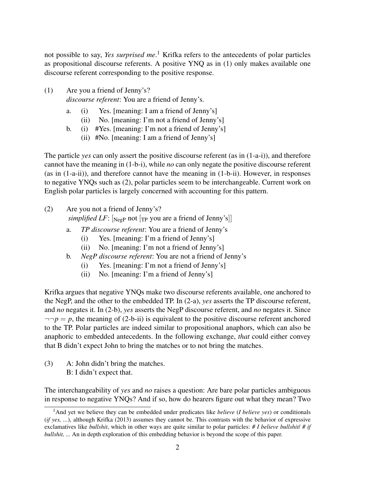not possible to say, *Yes surprised me*. <sup>1</sup> Krifka refers to the antecedents of polar particles as propositional discourse referents. A positive YNQ as in (1) only makes available one discourse referent corresponding to the positive response.

- (1) Are you a friend of Jenny's? *discourse referent*: You are a friend of Jenny's.
	- a. (i) Yes. [meaning: I am a friend of Jenny's]
		- (ii) No. [meaning: I'm not a friend of Jenny's]
	- b. (i) #Yes. [meaning: I'm not a friend of Jenny's]
		- (ii) #No. [meaning: I am a friend of Jenny's]

The particle *yes* can only assert the positive discourse referent (as in (1-a-i)), and therefore cannot have the meaning in (1-b-i), while *no* can only negate the positive discourse referent (as in (1-a-ii)), and therefore cannot have the meaning in (1-b-ii). However, in responses to negative YNQs such as (2), polar particles seem to be interchangeable. Current work on English polar particles is largely concerned with accounting for this pattern.

- (2) Are you not a friend of Jenny's? *simplified LF*:  $\lceil_{\text{NegP}}$  not  $\lceil_{\text{TP}}$  you are a friend of Jenny's
	- a. *TP discourse referent*: You are a friend of Jenny's
		- (i) Yes. [meaning: I'm a friend of Jenny's]
		- (ii) No. [meaning: I'm not a friend of Jenny's]
	- b. *NegP discourse referent*: You are not a friend of Jenny's
		- (i) Yes. [meaning: I'm not a friend of Jenny's]
		- (ii) No. [meaning: I'm a friend of Jenny's]

Krifka argues that negative YNQs make two discourse referents available, one anchored to the NegP, and the other to the embedded TP. In (2-a), *yes* asserts the TP discourse referent, and *no* negates it. In (2-b), *yes* asserts the NegP discourse referent, and *no* negates it. Since  $\neg$  $\neg$ *p*, the meaning of (2-b-ii) is equivalent to the positive discourse referent anchored to the TP. Polar particles are indeed similar to propositional anaphors, which can also be anaphoric to embedded antecedents. In the following exchange, *that* could either convey that B didn't expect John to bring the matches or to not bring the matches.

(3) A: John didn't bring the matches. B: I didn't expect that.

The interchangeability of *yes* and *no* raises a question: Are bare polar particles ambiguous in response to negative YNQs? And if so, how do hearers figure out what they mean? Two

<sup>1</sup>And yet we believe they can be embedded under predicates like *believe* (*I believe yes*) or conditionals (*if yes, ...*), although Krifka (2013) assumes they cannot be. This contrasts with the behavior of expressive exclamatives like *bullshit*, which in other ways are quite similar to polar particles: *# I believe bullshit*/ *# if bullshit, ...* An in depth exploration of this embedding behavior is beyond the scope of this paper.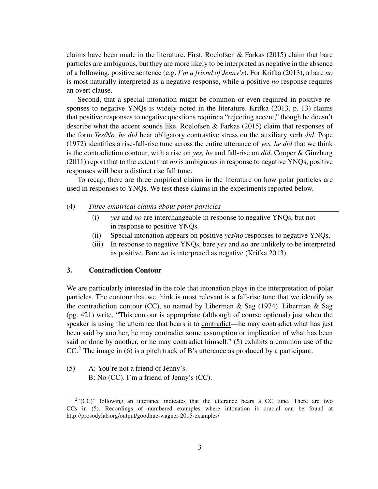claims have been made in the literature. First, Roelofsen & Farkas (2015) claim that bare particles are ambiguous, but they are more likely to be interpreted as negative in the absence of a following, positive sentence (e.g. *I'm a friend of Jenny's*). For Krifka (2013), a bare *no* is most naturally interpreted as a negative response, while a positive *no* response requires an overt clause.

Second, that a special intonation might be common or even required in positive responses to negative YNQs is widely noted in the literature. Krifka (2013, p. 13) claims that positive responses to negative questions require a "rejecting accent," though he doesn't describe what the accent sounds like. Roelofsen & Farkas (2015) claim that responses of the form *Yes/No, he did* bear obligatory contrastive stress on the auxiliary verb *did*. Pope (1972) identifies a rise-fall-rise tune across the entire utterance of *yes, he did* that we think is the contradiction contour, with a rise on *yes, he* and fall-rise on *did*. Cooper & Ginzburg (2011) report that to the extent that *no* is ambiguous in response to negative YNQs, positive responses will bear a distinct rise fall tune.

To recap, there are three empirical claims in the literature on how polar particles are used in responses to YNQs. We test these claims in the experiments reported below.

- (4) *Three empirical claims about polar particles*
	- (i) *yes* and *no* are interchangeable in response to negative YNQs, but not in response to positive YNQs.
	- (ii) Special intonation appears on positive *yes*/*no* responses to negative YNQs.
	- (iii) In response to negative YNQs, bare *yes* and *no* are unlikely to be interpreted as positive. Bare *no* is interpreted as negative (Krifka 2013).

### 3. Contradiction Contour

We are particularly interested in the role that intonation plays in the interpretation of polar particles. The contour that we think is most relevant is a fall-rise tune that we identify as the contradiction contour (CC), so named by Liberman & Sag (1974). Liberman & Sag (pg. 421) write, "This contour is appropriate (although of course optional) just when the speaker is using the utterance that bears it to contradict—he may contradict what has just been said by another, he may contradict some assumption or implication of what has been said or done by another, or he may contradict himself." (5) exhibits a common use of the  $CC<sup>2</sup>$ . The image in (6) is a pitch track of B's utterance as produced by a participant.

(5) A: You're not a friend of Jenny's. B: No (CC). I'm a friend of Jenny's (CC).

 $2$ "(CC)" following an utterance indicates that the utterance bears a CC tune. There are two CCs in (5). Recordings of numbered examples where intonation is crucial can be found at http://prosodylab.org/output/goodhue-wagner-2015-examples/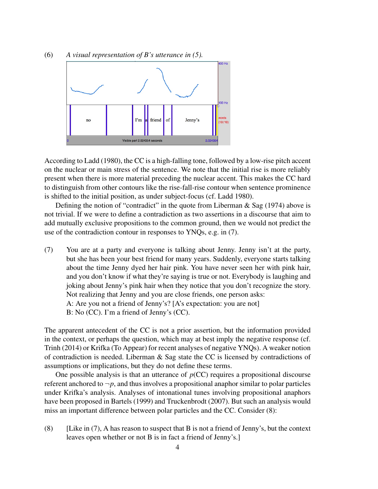

According to Ladd (1980), the CC is a high-falling tone, followed by a low-rise pitch accent on the nuclear or main stress of the sentence. We note that the initial rise is more reliably present when there is more material preceding the nuclear accent. This makes the CC hard to distinguish from other contours like the rise-fall-rise contour when sentence prominence is shifted to the initial position, as under subject-focus (cf. Ladd 1980).

Defining the notion of "contradict" in the quote from Liberman  $\&$  Sag (1974) above is not trivial. If we were to define a contradiction as two assertions in a discourse that aim to add mutually exclusive propositions to the common ground, then we would not predict the use of the contradiction contour in responses to YNQs, e.g. in (7).

(7) You are at a party and everyone is talking about Jenny. Jenny isn't at the party, but she has been your best friend for many years. Suddenly, everyone starts talking about the time Jenny dyed her hair pink. You have never seen her with pink hair, and you don't know if what they're saying is true or not. Everybody is laughing and joking about Jenny's pink hair when they notice that you don't recognize the story. Not realizing that Jenny and you are close friends, one person asks: A: Are you not a friend of Jenny's? [A's expectation: you are not] B: No (CC). I'm a friend of Jenny's (CC).

The apparent antecedent of the CC is not a prior assertion, but the information provided in the context, or perhaps the question, which may at best imply the negative response (cf. Trinh (2014) or Krifka (To Appear) for recent analyses of negative YNQs). A weaker notion of contradiction is needed. Liberman & Sag state the CC is licensed by contradictions of assumptions or implications, but they do not define these terms.

One possible analysis is that an utterance of  $p(CC)$  requires a propositional discourse referent anchored to  $\neg p$ , and thus involves a propositional anaphor similar to polar particles under Krifka's analysis. Analyses of intonational tunes involving propositional anaphors have been proposed in Bartels (1999) and Truckenbrodt (2007). But such an analysis would miss an important difference between polar particles and the CC. Consider (8):

(8) [Like in  $(7)$ , A has reason to suspect that B is not a friend of Jenny's, but the context leaves open whether or not B is in fact a friend of Jenny's.]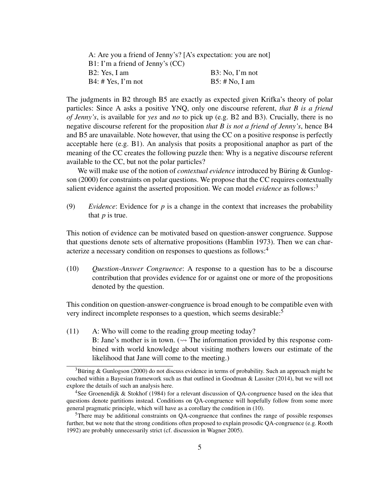| A: Are you a friend of Jenny's? [A's expectation: you are not] |                  |  |
|----------------------------------------------------------------|------------------|--|
| $B1: I'm$ a friend of Jenny's (CC)                             |                  |  |
| B2: Yes, I am                                                  | B3: No, I'm not  |  |
| $B4: \# Yes, I'm not$                                          | $B5:$ # No, I am |  |

The judgments in B2 through B5 are exactly as expected given Krifka's theory of polar particles: Since A asks a positive YNQ, only one discourse referent, *that B is a friend of Jenny's*, is available for *yes* and *no* to pick up (e.g. B2 and B3). Crucially, there is no negative discourse referent for the proposition *that B is not a friend of Jenny's*, hence B4 and B5 are unavailable. Note however, that using the CC on a positive response is perfectly acceptable here (e.g. B1). An analysis that posits a propositional anaphor as part of the meaning of the CC creates the following puzzle then: Why is a negative discourse referent available to the CC, but not the polar particles?

We will make use of the notion of *contextual evidence* introduced by Büring & Gunlogson (2000) for constraints on polar questions. We propose that the CC requires contextually salient evidence against the asserted proposition. We can model *evidence* as follows:<sup>3</sup>

(9) *Evidence*: Evidence for *p* is a change in the context that increases the probability that *p* is true.

This notion of evidence can be motivated based on question-answer congruence. Suppose that questions denote sets of alternative propositions (Hamblin 1973). Then we can characterize a necessary condition on responses to questions as follows:<sup>4</sup>

(10) *Question-Answer Congruence*: A response to a question has to be a discourse contribution that provides evidence for or against one or more of the propositions denoted by the question.

This condition on question-answer-congruence is broad enough to be compatible even with very indirect incomplete responses to a question, which seems desirable:<sup>5</sup>

(11) A: Who will come to the reading group meeting today? B: Jane's mother is in town. ( $\rightsquigarrow$  The information provided by this response combined with world knowledge about visiting mothers lowers our estimate of the likelihood that Jane will come to the meeting.)

<sup>&</sup>lt;sup>3</sup>Buring & Gunlogson (2000) do not discuss evidence in terms of probability. Such an approach might be couched within a Bayesian framework such as that outlined in Goodman & Lassiter (2014), but we will not explore the details of such an analysis here.

<sup>&</sup>lt;sup>4</sup>See Groenendijk & Stokhof (1984) for a relevant discussion of QA-congruence based on the idea that questions denote partitions instead. Conditions on QA-congruence will hopefully follow from some more general pragmatic principle, which will have as a corollary the condition in (10).

<sup>&</sup>lt;sup>5</sup>There may be additional constraints on QA-congruence that confines the range of possible responses further, but we note that the strong conditions often proposed to explain prosodic QA-congruence (e.g. Rooth 1992) are probably unnecessarily strict (cf. discussion in Wagner 2005).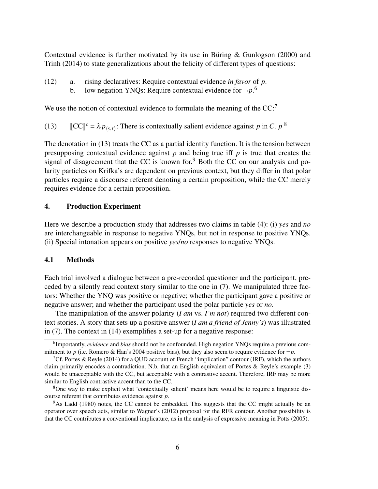Contextual evidence is further motivated by its use in Büring & Gunlogson (2000) and Trinh (2014) to state generalizations about the felicity of different types of questions:

(12) a. rising declaratives: Require contextual evidence *in favor* of *p*. b. low negation YNQs: Require contextual evidence for  $\neg p$ .<sup>6</sup>

We use the notion of contextual evidence to formulate the meaning of the CC:<sup>7</sup>

(13)  $\left[\mathbb{C}\mathbb{C}\right]^c = \lambda p_{\langle s,t \rangle}$ : There is contextually salient evidence against *p* in *C*. *p*<sup>8</sup>

The denotation in (13) treats the CC as a partial identity function. It is the tension between presupposing contextual evidence against *p* and being true iff *p* is true that creates the signal of disagreement that the CC is known for.<sup>9</sup> Both the CC on our analysis and polarity particles on Krifka's are dependent on previous context, but they differ in that polar particles require a discourse referent denoting a certain proposition, while the CC merely requires evidence for a certain proposition.

### 4. Production Experiment

Here we describe a production study that addresses two claims in table (4): (i) *yes* and *no* are interchangeable in response to negative YNQs, but not in response to positive YNQs. (ii) Special intonation appears on positive *yes*/*no* responses to negative YNQs.

#### 4.1 Methods

Each trial involved a dialogue between a pre-recorded questioner and the participant, preceded by a silently read context story similar to the one in (7). We manipulated three factors: Whether the YNQ was positive or negative; whether the participant gave a positive or negative answer; and whether the participant used the polar particle *yes* or *no*.

The manipulation of the answer polarity (*I am* vs. *I'm not*) required two different context stories. A story that sets up a positive answer (*I am a friend of Jenny's*) was illustrated in (7). The context in (14) exemplifies a set-up for a negative response:

<sup>6</sup> Importantly, *evidence* and *bias* should not be confounded. High negation YNQs require a previous commitment to *p* (i.e. Romero & Han's 2004 positive bias), but they also seem to require evidence for  $\neg p$ .

<sup>&</sup>lt;sup>7</sup>Cf. Portes & Reyle (2014) for a QUD account of French "implication" contour (IRF), which the authors claim primarily encodes a contradiction. N.b. that an English equivalent of Portes & Reyle's example (3) would be unacceptable with the CC, but acceptable with a contrastive accent. Therefore, IRF may be more similar to English contrastive accent than to the CC.

<sup>8</sup>One way to make explicit what 'contextually salient' means here would be to require a linguistic discourse referent that contributes evidence against *p*.

<sup>&</sup>lt;sup>9</sup>As Ladd (1980) notes, the CC cannot be embedded. This suggests that the CC might actually be an operator over speech acts, similar to Wagner's (2012) proposal for the RFR contour. Another possibility is that the CC contributes a conventional implicature, as in the analysis of expressive meaning in Potts (2005).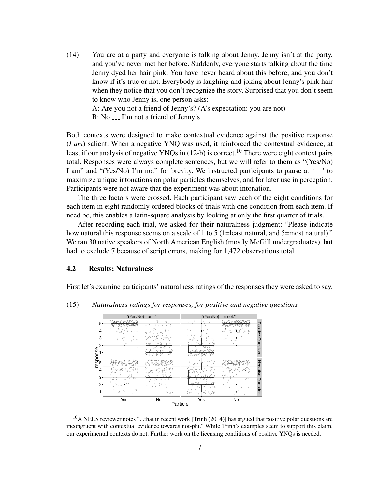(14) You are at a party and everyone is talking about Jenny. Jenny isn't at the party, and you've never met her before. Suddenly, everyone starts talking about the time Jenny dyed her hair pink. You have never heard about this before, and you don't know if it's true or not. Everybody is laughing and joking about Jenny's pink hair when they notice that you don't recognize the story. Surprised that you don't seem to know who Jenny is, one person asks:

A: Are you not a friend of Jenny's? (A's expectation: you are not) B: No  $\ldots$  I'm not a friend of Jenny's

Both contexts were designed to make contextual evidence against the positive response (*I am*) salient. When a negative YNQ was used, it reinforced the contextual evidence, at least if our analysis of negative YNQs in  $(12-b)$  is correct.<sup>10</sup> There were eight context pairs total. Responses were always complete sentences, but we will refer to them as "(Yes/No) I am" and "(Yes/No) I'm not" for brevity. We instructed participants to pause at  $\frac{1}{1-\epsilon}$  to maximize unique intonations on polar particles themselves, and for later use in perception. Participants were not aware that the experiment was about intonation.

The three factors were crossed. Each participant saw each of the eight conditions for each item in eight randomly ordered blocks of trials with one condition from each item. If need be, this enables a latin-square analysis by looking at only the first quarter of trials.

After recording each trial, we asked for their naturalness judgment: "Please indicate how natural this response seems on a scale of 1 to 5 (1=least natural, and 5=most natural)." We ran 30 native speakers of North American English (mostly McGill undergraduates), but had to exclude 7 because of script errors, making for 1,472 observations total.

### 4.2 Results: Naturalness

First let's examine participants' naturalness ratings of the responses they were asked to say.



(15) *Naturalness ratings for responses, for positive and negative questions*

 $10$ A NELS reviewer notes "...that in recent work [Trinh (2014)] has argued that positive polar questions are incongruent with contextual evidence towards not-phi." While Trinh's examples seem to support this claim, our experimental contexts do not. Further work on the licensing conditions of positive YNQs is needed.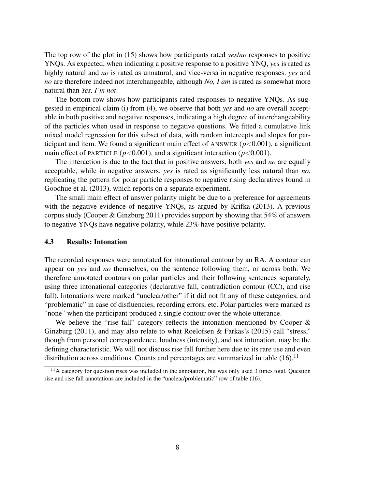The top row of the plot in (15) shows how participants rated *yes*/*no* responses to positive YNQs. As expected, when indicating a positive response to a positive YNQ, *yes* is rated as highly natural and *no* is rated as unnatural, and vice-versa in negative responses. *yes* and *no* are therefore indeed not interchangeable, although *No, I am* is rated as somewhat more natural than *Yes, I'm not*.

The bottom row shows how participants rated responses to negative YNQs. As suggested in empirical claim (i) from (4), we observe that both *yes* and *no* are overall acceptable in both positive and negative responses, indicating a high degree of interchangeability of the particles when used in response to negative questions. We fitted a cumulative link mixed model regression for this subset of data, with random intercepts and slopes for participant and item. We found a significant main effect of ANSWER  $(p<0.001)$ , a significant main effect of PARTICLE ( $p < 0.001$ ), and a significant interaction ( $p < 0.001$ ).

The interaction is due to the fact that in positive answers, both *yes* and *no* are equally acceptable, while in negative answers, *yes* is rated as significantly less natural than *no*, replicating the pattern for polar particle responses to negative rising declaratives found in Goodhue et al. (2013), which reports on a separate experiment.

The small main effect of answer polarity might be due to a preference for agreements with the negative evidence of negative YNQs, as argued by Krifka (2013). A previous corpus study (Cooper & Ginzburg 2011) provides support by showing that 54% of answers to negative YNQs have negative polarity, while 23% have positive polarity.

#### 4.3 Results: Intonation

The recorded responses were annotated for intonational contour by an RA. A contour can appear on *yes* and *no* themselves, on the sentence following them, or across both. We therefore annotated contours on polar particles and their following sentences separately, using three intonational categories (declarative fall, contradiction contour (CC), and rise fall). Intonations were marked "unclear/other" if it did not fit any of these categories, and "problematic" in case of disfluencies, recording errors, etc. Polar particles were marked as "none" when the participant produced a single contour over the whole utterance.

We believe the "rise fall" category reflects the intonation mentioned by Cooper  $\&$ Ginzburg (2011), and may also relate to what Roelofsen  $\&$  Farkas's (2015) call "stress," though from personal correspondence, loudness (intensity), and not intonation, may be the defining characteristic. We will not discuss rise fall further here due to its rare use and even distribution across conditions. Counts and percentages are summarized in table  $(16)$ .<sup>11</sup>

 $11$ A category for question rises was included in the annotation, but was only used 3 times total. Question rise and rise fall annotations are included in the "unclear/problematic" row of table (16).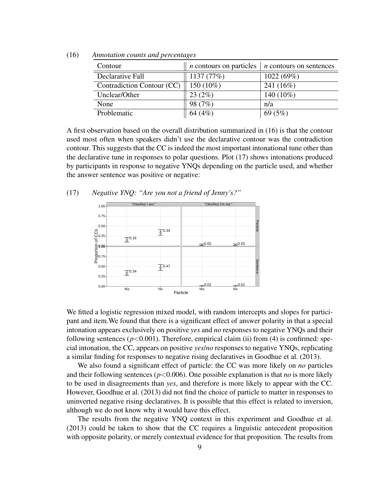| Contour                    | <i>n</i> contours on particles | $n$ contours on sentences |
|----------------------------|--------------------------------|---------------------------|
| Declarative Fall           | 1137 (77%)                     | 1022(69%)                 |
| Contradiction Contour (CC) | 150 (10%)                      | 241 (16%)                 |
| Unclear/Other              | 23(2%)                         | 140 (10%)                 |
| None                       | 98 (7%)                        | n/a                       |
| Problematic                | 64 (4%)                        | 69(5%)                    |

(16) *Annotation counts and percentages*

A first observation based on the overall distribution summarized in (16) is that the contour used most often when speakers didn't use the declarative contour was the contradiction contour. This suggests that the CC is indeed the most important intonational tune other than the declarative tune in responses to polar questions. Plot (17) shows intonations produced by participants in response to negative YNQs depending on the particle used, and whether the answer sentence was positive or negative:

(17) *Negative YNQ: "Are you not a friend of Jenny's?"*



We fitted a logistic regression mixed model, with random intercepts and slopes for participant and item.We found that there is a significant effect of answer polarity in that a special intonation appears exclusively on positive *yes* and *no* responses to negative YNQs and their following sentences ( $p < 0.001$ ). Therefore, empirical claim (ii) from (4) is confirmed: special intonation, the CC, appears on positive *yes*/*no* responses to negative YNQs, replicating a similar finding for responses to negative rising declaratives in Goodhue et al. (2013).

We also found a significant effect of particle: the CC was more likely on *no* particles and their following sentences ( $p$ <0.006). One possible explanation is that *no* is more likely to be used in disagreements than *yes*, and therefore is more likely to appear with the CC. However, Goodhue et al. (2013) did not find the choice of particle to matter in responses to uninverted negative rising declaratives. It is possible that this effect is related to inversion, although we do not know why it would have this effect.

The results from the negative YNQ context in this experiment and Goodhue et al. (2013) could be taken to show that the CC requires a linguistic antecedent proposition with opposite polarity, or merely contextual evidence for that proposition. The results from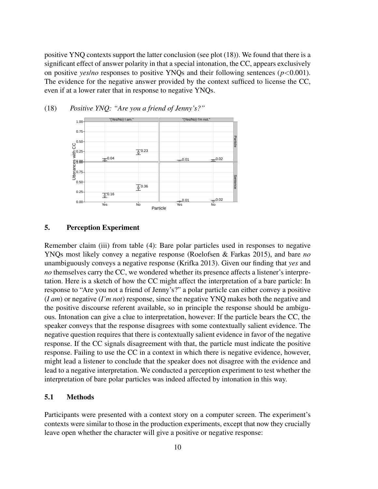positive YNQ contexts support the latter conclusion (see plot (18)). We found that there is a significant effect of answer polarity in that a special intonation, the CC, appears exclusively on positive *yes/no* responses to positive YNQs and their following sentences ( $p < 0.001$ ). The evidence for the negative answer provided by the context sufficed to license the CC, even if at a lower rater that in response to negative YNQs.



# (18) *Positive YNQ: "Are you a friend of Jenny's?"*

### 5. Perception Experiment

Remember claim (iii) from table (4): Bare polar particles used in responses to negative YNQs most likely convey a negative response (Roelofsen & Farkas 2015), and bare *no* unambiguously conveys a negative response (Krifka 2013). Given our finding that *yes* and *no* themselves carry the CC, we wondered whether its presence affects a listener's interpretation. Here is a sketch of how the CC might affect the interpretation of a bare particle: In response to "Are you not a friend of Jenny's?" a polar particle can either convey a positive (*I am*) or negative (*I'm not*) response, since the negative YNQ makes both the negative and the positive discourse referent available, so in principle the response should be ambiguous. Intonation can give a clue to interpretation, however: If the particle bears the CC, the speaker conveys that the response disagrees with some contextually salient evidence. The negative question requires that there is contextually salient evidence in favor of the negative response. If the CC signals disagreement with that, the particle must indicate the positive response. Failing to use the CC in a context in which there is negative evidence, however, might lead a listener to conclude that the speaker does not disagree with the evidence and lead to a negative interpretation. We conducted a perception experiment to test whether the interpretation of bare polar particles was indeed affected by intonation in this way.

# 5.1 Methods

Participants were presented with a context story on a computer screen. The experiment's contexts were similar to those in the production experiments, except that now they crucially leave open whether the character will give a positive or negative response: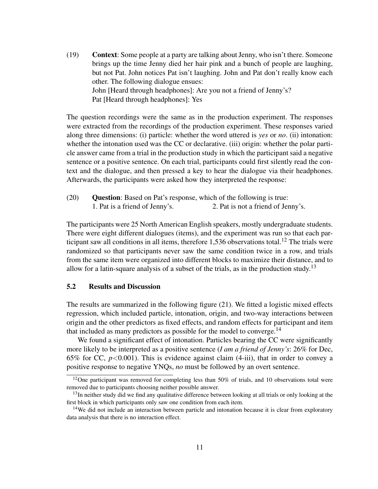(19) Context: Some people at a party are talking about Jenny, who isn't there. Someone brings up the time Jenny died her hair pink and a bunch of people are laughing, but not Pat. John notices Pat isn't laughing. John and Pat don't really know each other. The following dialogue ensues: John [Heard through headphones]: Are you not a friend of Jenny's? Pat [Heard through headphones]: Yes

The question recordings were the same as in the production experiment. The responses were extracted from the recordings of the production experiment. These responses varied along three dimensions: (i) particle: whether the word uttered is *yes* or *no*. (ii) intonation: whether the intonation used was the CC or declarative. (iii) origin: whether the polar particle answer came from a trial in the production study in which the participant said a negative sentence or a positive sentence. On each trial, participants could first silently read the context and the dialogue, and then pressed a key to hear the dialogue via their headphones. Afterwards, the participants were asked how they interpreted the response:

(20) Question: Based on Pat's response, which of the following is true: 1. Pat is a friend of Jenny's. 2. Pat is not a friend of Jenny's.

The participants were 25 North American English speakers, mostly undergraduate students. There were eight different dialogues (items), and the experiment was run so that each participant saw all conditions in all items, therefore  $1,536$  observations total.<sup>12</sup> The trials were randomized so that participants never saw the same condition twice in a row, and trials from the same item were organized into different blocks to maximize their distance, and to allow for a latin-square analysis of a subset of the trials, as in the production study.<sup>13</sup>

### 5.2 Results and Discussion

The results are summarized in the following figure (21). We fitted a logistic mixed effects regression, which included particle, intonation, origin, and two-way interactions between origin and the other predictors as fixed effects, and random effects for participant and item that included as many predictors as possible for the model to converge.<sup>14</sup>

We found a significant effect of intonation. Particles bearing the CC were significantly more likely to be interpreted as a positive sentence (*I am a friend of Jenny's*: 26% for Dec, 65% for CC,  $p < 0.001$ ). This is evidence against claim (4-iii), that in order to convey a positive response to negative YNQs, *no* must be followed by an overt sentence.

<sup>&</sup>lt;sup>12</sup>One participant was removed for completing less than 50% of trials, and 10 observations total were removed due to participants choosing neither possible answer.

 $13$ In neither study did we find any qualitative difference between looking at all trials or only looking at the first block in which participants only saw one condition from each item.

<sup>&</sup>lt;sup>14</sup>We did not include an interaction between particle and intonation because it is clear from exploratory data analysis that there is no interaction effect.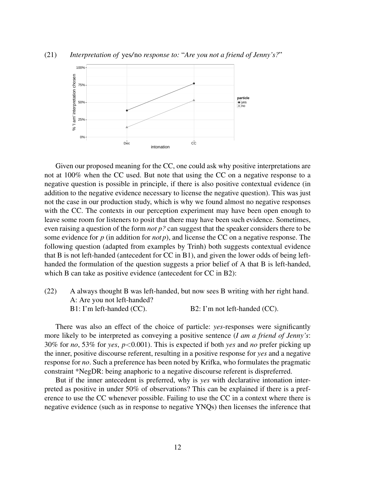

(21) *Interpretation of* yes*/*no *response to:* "*Are you not a friend of Jenny's?*"

Given our proposed meaning for the CC, one could ask why positive interpretations are not at 100% when the CC used. But note that using the CC on a negative response to a negative question is possible in principle, if there is also positive contextual evidence (in addition to the negative evidence necessary to license the negative question). This was just not the case in our production study, which is why we found almost no negative responses with the CC. The contexts in our perception experiment may have been open enough to leave some room for listeners to posit that there may have been such evidence. Sometimes, even raising a question of the form *not p?* can suggest that the speaker considers there to be some evidence for *p* (in addition for *not p*), and license the CC on a negative response. The following question (adapted from examples by Trinh) both suggests contextual evidence that B is not left-handed (antecedent for CC in B1), and given the lower odds of being lefthanded the formulation of the question suggests a prior belief of A that B is left-handed, which B can take as positive evidence (antecedent for CC in B2):

(22) A always thought B was left-handed, but now sees B writing with her right hand. A: Are you not left-handed? B1: I'm left-handed (CC). B2: I'm not left-handed (CC).

There was also an effect of the choice of particle: *yes*-responses were significantly more likely to be interpreted as conveying a positive sentence (*I am a friend of Jenny's*: 30% for *no*, 53% for *yes*, *p*<0.001). This is expected if both *yes* and *no* prefer picking up the inner, positive discourse referent, resulting in a positive response for *yes* and a negative response for *no*. Such a preference has been noted by Krifka, who formulates the pragmatic constraint \*NegDR: being anaphoric to a negative discourse referent is dispreferred.

But if the inner antecedent is preferred, why is *yes* with declarative intonation interpreted as positive in under 50% of observations? This can be explained if there is a preference to use the CC whenever possible. Failing to use the CC in a context where there is negative evidence (such as in response to negative YNQs) then licenses the inference that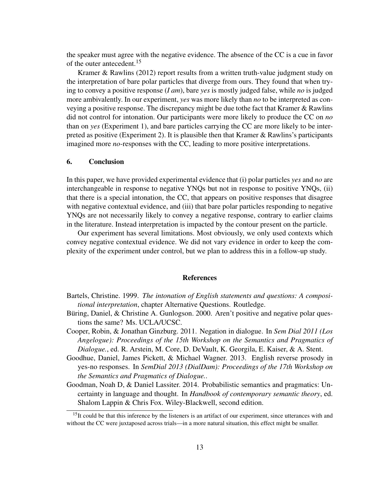the speaker must agree with the negative evidence. The absence of the CC is a cue in favor of the outer antecedent.<sup>15</sup>

Kramer & Rawlins (2012) report results from a written truth-value judgment study on the interpretation of bare polar particles that diverge from ours. They found that when trying to convey a positive response (*I am*), bare *yes* is mostly judged false, while *no* is judged more ambivalently. In our experiment, *yes* was more likely than *no* to be interpreted as conveying a positive response. The discrepancy might be due tothe fact that Kramer & Rawlins did not control for intonation. Our participants were more likely to produce the CC on *no* than on *yes* (Experiment 1), and bare particles carrying the CC are more likely to be interpreted as positive (Experiment 2). It is plausible then that Kramer & Rawlins's participants imagined more *no*-responses with the CC, leading to more positive interpretations.

### 6. Conclusion

In this paper, we have provided experimental evidence that (i) polar particles *yes* and *no* are interchangeable in response to negative YNQs but not in response to positive YNQs, (ii) that there is a special intonation, the CC, that appears on positive responses that disagree with negative contextual evidence, and (iii) that bare polar particles responding to negative YNQs are not necessarily likely to convey a negative response, contrary to earlier claims in the literature. Instead interpretation is impacted by the contour present on the particle.

Our experiment has several limitations. Most obviously, we only used contexts which convey negative contextual evidence. We did not vary evidence in order to keep the complexity of the experiment under control, but we plan to address this in a follow-up study.

#### References

- Bartels, Christine. 1999. *The intonation of English statements and questions: A compositional interpretation*, chapter Alternative Questions. Routledge.
- Büring, Daniel, & Christine A. Gunlogson. 2000. Aren't positive and negative polar questions the same? Ms. UCLA/UCSC.
- Cooper, Robin, & Jonathan Ginzburg. 2011. Negation in dialogue. In *Sem Dial 2011 (Los Angelogue): Proceedings of the 15th Workshop on the Semantics and Pragmatics of Dialogue.*, ed. R. Arstein, M. Core, D. DeVault, K. Georgila, E. Kaiser, & A. Stent.
- Goodhue, Daniel, James Pickett, & Michael Wagner. 2013. English reverse prosody in yes-no responses. In *SemDial 2013 (DialDam): Proceedings of the 17th Workshop on the Semantics and Pragmatics of Dialogue.*.
- Goodman, Noah D, & Daniel Lassiter. 2014. Probabilistic semantics and pragmatics: Uncertainty in language and thought. In *Handbook of contemporary semantic theory*, ed. Shalom Lappin & Chris Fox. Wiley-Blackwell, second edition.

<sup>&</sup>lt;sup>15</sup>It could be that this inference by the listeners is an artifact of our experiment, since utterances with and without the CC were juxtaposed across trials—in a more natural situation, this effect might be smaller.